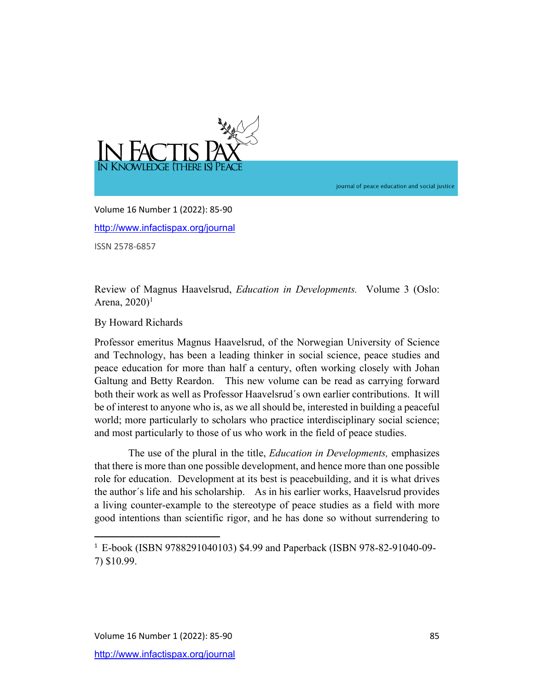

journal of peace education and social justice

Volume 16 Number 1 (2022): 85-90 http://www.infactispax.org/journal ISSN 2578-6857

Review of Magnus Haavelsrud, *Education in Developments.* Volume 3 (Oslo: Arena, 2020) 1

By Howard Richards

Professor emeritus Magnus Haavelsrud, of the Norwegian University of Science and Technology, has been a leading thinker in social science, peace studies and peace education for more than half a century, often working closely with Johan Galtung and Betty Reardon. This new volume can be read as carrying forward both their work as well as Professor Haavelsrud´s own earlier contributions. It will be of interest to anyone who is, as we all should be, interested in building a peaceful world; more particularly to scholars who practice interdisciplinary social science; and most particularly to those of us who work in the field of peace studies.

 The use of the plural in the title, *Education in Developments,* emphasizes that there is more than one possible development, and hence more than one possible role for education. Development at its best is peacebuilding, and it is what drives the author´s life and his scholarship. As in his earlier works, Haavelsrud provides a living counter-example to the stereotype of peace studies as a field with more good intentions than scientific rigor, and he has done so without surrendering to

<sup>1</sup> E-book (ISBN 9788291040103) \$4.99 and Paperback (ISBN 978-82-91040-09- 7) \$10.99.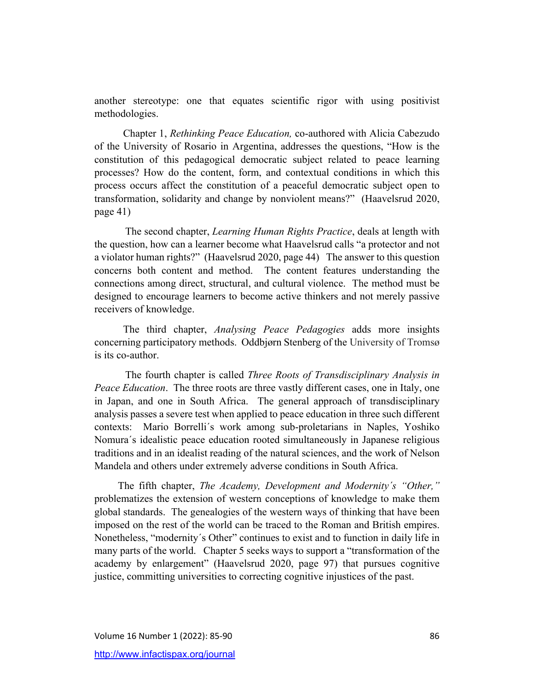another stereotype: one that equates scientific rigor with using positivist methodologies.

 Chapter 1, *Rethinking Peace Education,* co-authored with Alicia Cabezudo of the University of Rosario in Argentina, addresses the questions, "How is the constitution of this pedagogical democratic subject related to peace learning processes? How do the content, form, and contextual conditions in which this process occurs affect the constitution of a peaceful democratic subject open to transformation, solidarity and change by nonviolent means?" (Haavelsrud 2020, page 41)

The second chapter, *Learning Human Rights Practice*, deals at length with the question, how can a learner become what Haavelsrud calls "a protector and not a violator human rights?" (Haavelsrud 2020, page 44) The answer to this question concerns both content and method. The content features understanding the connections among direct, structural, and cultural violence. The method must be designed to encourage learners to become active thinkers and not merely passive receivers of knowledge.

 The third chapter, *Analysing Peace Pedagogies* adds more insights concerning participatory methods. Oddbjørn Stenberg of the University of Tromsø is its co-author.

The fourth chapter is called *Three Roots of Transdisciplinary Analysis in Peace Education*. The three roots are three vastly different cases, one in Italy, one in Japan, and one in South Africa. The general approach of transdisciplinary analysis passes a severe test when applied to peace education in three such different contexts: Mario Borrelli´s work among sub-proletarians in Naples, Yoshiko Nomura´s idealistic peace education rooted simultaneously in Japanese religious traditions and in an idealist reading of the natural sciences, and the work of Nelson Mandela and others under extremely adverse conditions in South Africa.

 The fifth chapter, *The Academy, Development and Modernity´s "Other,"* problematizes the extension of western conceptions of knowledge to make them global standards. The genealogies of the western ways of thinking that have been imposed on the rest of the world can be traced to the Roman and British empires. Nonetheless, "modernity´s Other" continues to exist and to function in daily life in many parts of the world. Chapter 5 seeks ways to support a "transformation of the academy by enlargement" (Haavelsrud 2020, page 97) that pursues cognitive justice, committing universities to correcting cognitive injustices of the past.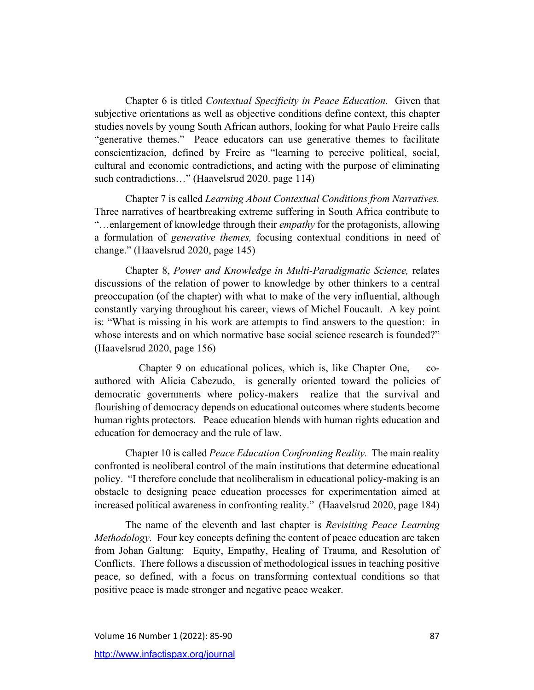Chapter 6 is titled *Contextual Specificity in Peace Education.* Given that subjective orientations as well as objective conditions define context, this chapter studies novels by young South African authors, looking for what Paulo Freire calls "generative themes." Peace educators can use generative themes to facilitate conscientizacion, defined by Freire as "learning to perceive political, social, cultural and economic contradictions, and acting with the purpose of eliminating such contradictions…" (Haavelsrud 2020. page 114)

Chapter 7 is called *Learning About Contextual Conditions from Narratives.*  Three narratives of heartbreaking extreme suffering in South Africa contribute to "…enlargement of knowledge through their *empathy* for the protagonists, allowing a formulation of *generative themes,* focusing contextual conditions in need of change." (Haavelsrud 2020, page 145)

Chapter 8, *Power and Knowledge in Multi-Paradigmatic Science,* relates discussions of the relation of power to knowledge by other thinkers to a central preoccupation (of the chapter) with what to make of the very influential, although constantly varying throughout his career, views of Michel Foucault. A key point is: "What is missing in his work are attempts to find answers to the question: in whose interests and on which normative base social science research is founded?" (Haavelsrud 2020, page 156)

 Chapter 9 on educational polices, which is, like Chapter One, coauthored with Alicia Cabezudo, is generally oriented toward the policies of democratic governments where policy-makers realize that the survival and flourishing of democracy depends on educational outcomes where students become human rights protectors. Peace education blends with human rights education and education for democracy and the rule of law.

Chapter 10 is called *Peace Education Confronting Reality.* The main reality confronted is neoliberal control of the main institutions that determine educational policy. "I therefore conclude that neoliberalism in educational policy-making is an obstacle to designing peace education processes for experimentation aimed at increased political awareness in confronting reality." (Haavelsrud 2020, page 184)

The name of the eleventh and last chapter is *Revisiting Peace Learning Methodology.* Four key concepts defining the content of peace education are taken from Johan Galtung: Equity, Empathy, Healing of Trauma, and Resolution of Conflicts. There follows a discussion of methodological issues in teaching positive peace, so defined, with a focus on transforming contextual conditions so that positive peace is made stronger and negative peace weaker.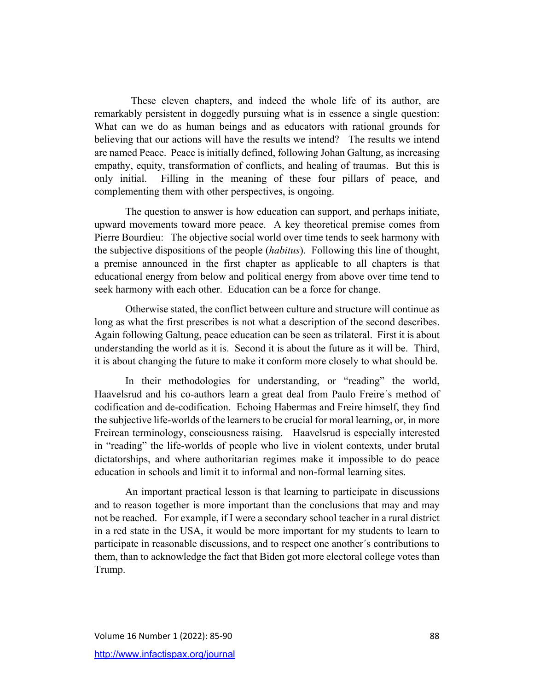These eleven chapters, and indeed the whole life of its author, are remarkably persistent in doggedly pursuing what is in essence a single question: What can we do as human beings and as educators with rational grounds for believing that our actions will have the results we intend? The results we intend are named Peace. Peace is initially defined, following Johan Galtung, as increasing empathy, equity, transformation of conflicts, and healing of traumas. But this is only initial. Filling in the meaning of these four pillars of peace, and complementing them with other perspectives, is ongoing.

The question to answer is how education can support, and perhaps initiate, upward movements toward more peace. A key theoretical premise comes from Pierre Bourdieu: The objective social world over time tends to seek harmony with the subjective dispositions of the people (*habitus*). Following this line of thought, a premise announced in the first chapter as applicable to all chapters is that educational energy from below and political energy from above over time tend to seek harmony with each other. Education can be a force for change.

Otherwise stated, the conflict between culture and structure will continue as long as what the first prescribes is not what a description of the second describes. Again following Galtung, peace education can be seen as trilateral. First it is about understanding the world as it is. Second it is about the future as it will be. Third, it is about changing the future to make it conform more closely to what should be.

In their methodologies for understanding, or "reading" the world, Haavelsrud and his co-authors learn a great deal from Paulo Freire´s method of codification and de-codification. Echoing Habermas and Freire himself, they find the subjective life-worlds of the learners to be crucial for moral learning, or, in more Freirean terminology, consciousness raising. Haavelsrud is especially interested in "reading" the life-worlds of people who live in violent contexts, under brutal dictatorships, and where authoritarian regimes make it impossible to do peace education in schools and limit it to informal and non-formal learning sites.

An important practical lesson is that learning to participate in discussions and to reason together is more important than the conclusions that may and may not be reached. For example, if I were a secondary school teacher in a rural district in a red state in the USA, it would be more important for my students to learn to participate in reasonable discussions, and to respect one another´s contributions to them, than to acknowledge the fact that Biden got more electoral college votes than Trump.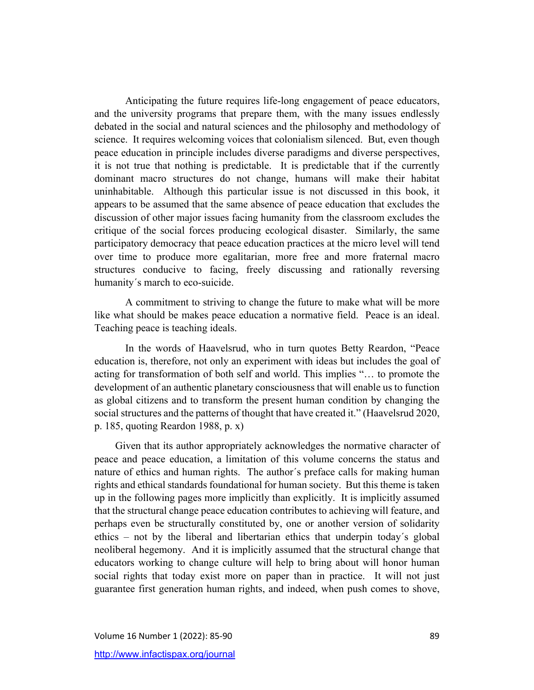Anticipating the future requires life-long engagement of peace educators, and the university programs that prepare them, with the many issues endlessly debated in the social and natural sciences and the philosophy and methodology of science. It requires welcoming voices that colonialism silenced. But, even though peace education in principle includes diverse paradigms and diverse perspectives, it is not true that nothing is predictable. It is predictable that if the currently dominant macro structures do not change, humans will make their habitat uninhabitable. Although this particular issue is not discussed in this book, it appears to be assumed that the same absence of peace education that excludes the discussion of other major issues facing humanity from the classroom excludes the critique of the social forces producing ecological disaster. Similarly, the same participatory democracy that peace education practices at the micro level will tend over time to produce more egalitarian, more free and more fraternal macro structures conducive to facing, freely discussing and rationally reversing humanity´s march to eco-suicide.

A commitment to striving to change the future to make what will be more like what should be makes peace education a normative field. Peace is an ideal. Teaching peace is teaching ideals.

In the words of Haavelsrud, who in turn quotes Betty Reardon, "Peace education is, therefore, not only an experiment with ideas but includes the goal of acting for transformation of both self and world. This implies "… to promote the development of an authentic planetary consciousness that will enable us to function as global citizens and to transform the present human condition by changing the social structures and the patterns of thought that have created it." (Haavelsrud 2020, p. 185, quoting Reardon 1988, p. x)

 Given that its author appropriately acknowledges the normative character of peace and peace education, a limitation of this volume concerns the status and nature of ethics and human rights. The author´s preface calls for making human rights and ethical standards foundational for human society. But this theme is taken up in the following pages more implicitly than explicitly. It is implicitly assumed that the structural change peace education contributes to achieving will feature, and perhaps even be structurally constituted by, one or another version of solidarity ethics – not by the liberal and libertarian ethics that underpin today´s global neoliberal hegemony. And it is implicitly assumed that the structural change that educators working to change culture will help to bring about will honor human social rights that today exist more on paper than in practice. It will not just guarantee first generation human rights, and indeed, when push comes to shove,